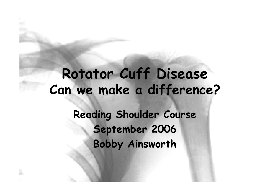## Rotator Cuff Disease Can we make a difference?Reading Shoulder CourseSeptember 2006Bobby Ainsworth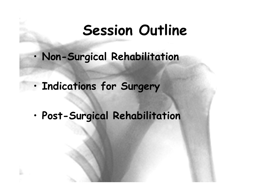#### Session Outline

- •Non-Surgical Rehabilitation
- •• Indications for Surgery
- •Post-Surgical Rehabilitation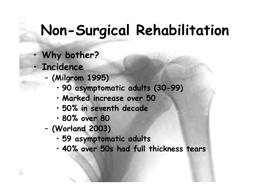## Non-Surgical Rehabilitation

- Why bother?
- · Incidence

•

•

- – (Milgrom 1995)
	- 90 asymptomatic adults (30-99)
	- Marked increase over 50
	- •50% in seventh decade
	- •80% over 80
- – (Worland 2003)
	- 59 asymptomatic adults
	- •40% over 50s had full thickness tears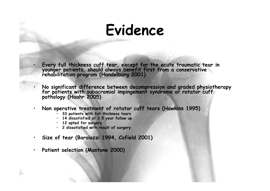#### Evidence

Every full thickness cuff tear, except for the acute traumatic tear in younger patients, should always benefit first from a conservative rehabilitation program (Handelburg 2001)

No significant difference between decompression and graded physiotherapy for patients with subacromial impingement syndrome or rotator cuff pathology (Haahr 2005)

•Non operative treatment of rotator cuff tears (Hawkins 1995)

- 33 patients with full thickness tears
- 14 dissatisfied at 3.5 year follow up
- 12 opted for surgery

•

•

- 2 dissatisfied with result of surgery
- $\bullet$ Size of tear (Barolozzi 1994, Cofield 2001)
- •Patient selection (Mantone 2000)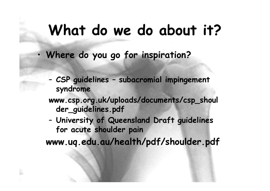#### What do we do about it?

Where do you go for inspiration?

•

– CSP guidelines – subacromial impingement syndrome

 www.csp.org.uk/uploads/documents/csp\_shoul der\_guidelines.pdf

– University of Queensland Draft guidelines for acute shoulder pain

www.uq.edu.au/health/pdf/shoulder.pdf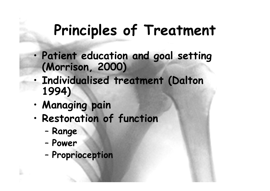## Principles of Treatment

- Patient education and goal setting (Morrison, 2000)
- • Individualised treatment (Dalton 1994)
- •Managing pain
- • Restoration of function
	- –Range

•

- –Power
- –- Proprioception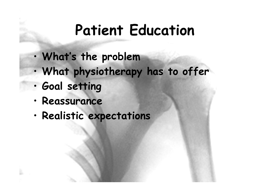## Patient Education

- •What's the problem
- What physiathenal What physiotherapy has to offer
- •Goal setting
- •Reassurance
- •Realistic expectations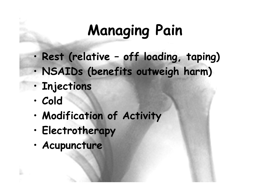# Managing Pain

- •Rest (relative – off loading, taping)
- •NSAIDs (benefits outweigh harm)
- •Injections
- •Cold
- •Modification of Activity
- •Electrotherapy
- •Acupuncture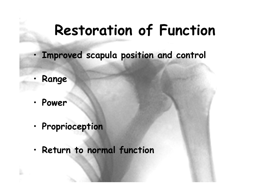## Restoration of Function

- Improved scapula position and control
- Range

•

- •Power
- •• Proprioception
- •Return to normal function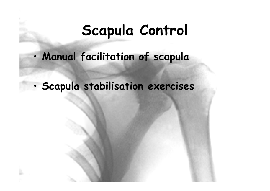### Scapula Control

- •Manual facilitation of scapula
- •· Scapula stabilisation exercises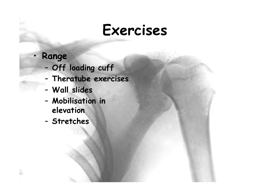#### Exercises

#### • Range

- –Off loading cuff
- –- Theratube exercises
- –Wall slides
- – Mobilisation in elevation
- –- Stretches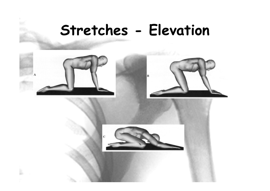#### Stretches - Elevation

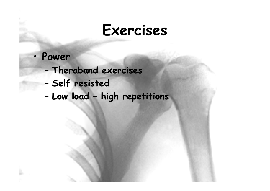#### Exercises

- • Power
	- –Theraband exercises
	- –- Self resisted
	- –Low load – high repetitions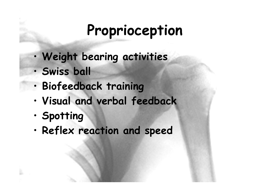## Proprioception

- •Weight bearing activities
- •Swiss ball
- •Biofeedback training
- •Visual and verbal feedback
- •Spotting
- •Reflex reaction and speed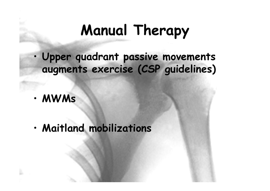## Manual Therapy

- • Upper quadrant passive movements augments exercise (CSP guidelines)
- •MWMs
- •Maitland mobilizations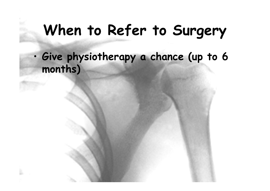## When to Refer to Surgery

• Give physiotherapy a chance (up to 6 months)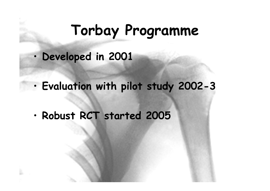## Torbay Programme

- •Developed in 2001
- •Evaluation with pilot study 2002-3
- •Robust RCT started 2005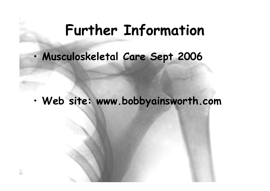#### Further Information

•Musculoskeletal Care Sept 2006

•Web site: www.bobbyainsworth.com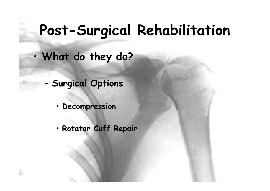## Post-Surgical Rehabilitation

- • What do they do?
	- Surgical Options

–

- Decompression
- Rotator Cuff Repair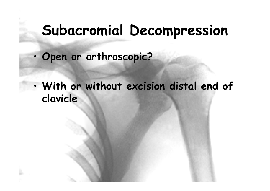#### Subacromial Decompression

- •Open or arthroscopic?
- • With or without excision distal end of clavicle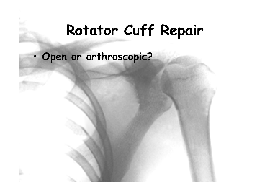### Rotator Cuff Repair

#### •Open or arthroscopic?